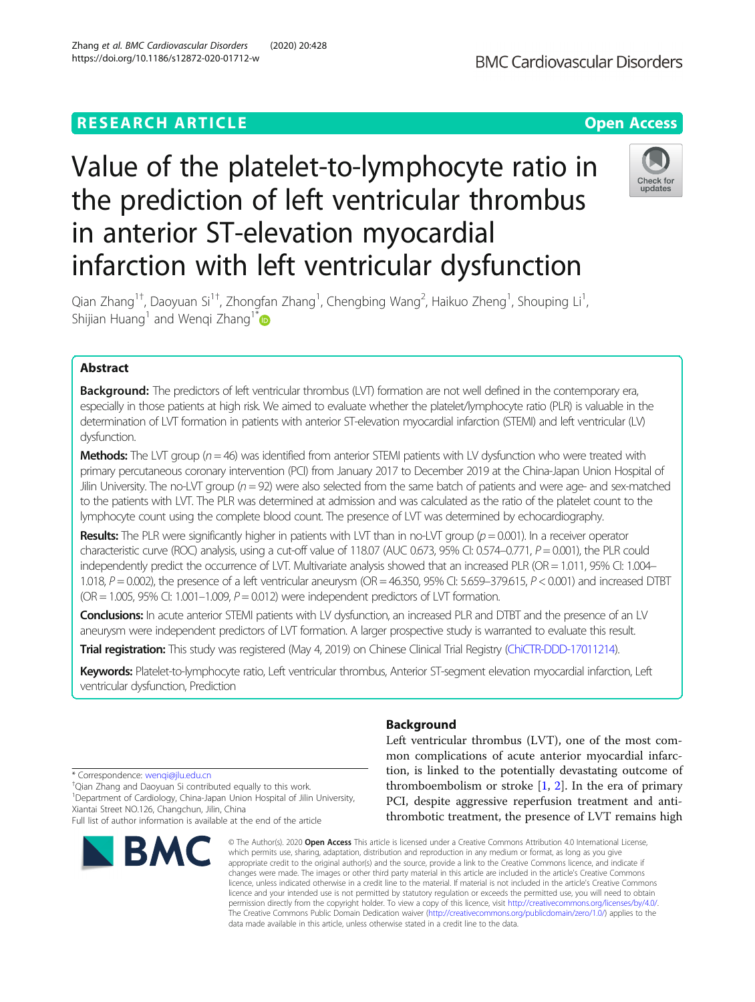## **RESEARCH ARTICLE Example 2014 12:30 The Contract of Contract ACCESS**

# Value of the platelet-to-lymphocyte ratio in the prediction of left ventricular thrombus in anterior ST-elevation myocardial infarction with left ventricular dysfunction

Qian Zhang<sup>1†</sup>, Daoyuan Si<sup>1†</sup>, Zhongfan Zhang<sup>1</sup>, Chengbing Wang<sup>2</sup>, Haikuo Zheng<sup>1</sup>, Shouping Li<sup>1</sup> , Shijian Huang<sup>1</sup> and Wengi Zhang<sup>1[\\*](http://orcid.org/0000-0001-5455-5122)</sup>

## Abstract

**Background:** The predictors of left ventricular thrombus (LVT) formation are not well defined in the contemporary era, especially in those patients at high risk. We aimed to evaluate whether the platelet/lymphocyte ratio (PLR) is valuable in the determination of LVT formation in patients with anterior ST-elevation myocardial infarction (STEMI) and left ventricular (LV) dysfunction.

**Methods:** The LVT group ( $n = 46$ ) was identified from anterior STEMI patients with LV dysfunction who were treated with primary percutaneous coronary intervention (PCI) from January 2017 to December 2019 at the China-Japan Union Hospital of Jilin University. The no-LVT group ( $n = 92$ ) were also selected from the same batch of patients and were age- and sex-matched to the patients with LVT. The PLR was determined at admission and was calculated as the ratio of the platelet count to the lymphocyte count using the complete blood count. The presence of LVT was determined by echocardiography.

**Results:** The PLR were significantly higher in patients with LVT than in no-LVT group ( $p = 0.001$ ). In a receiver operator characteristic curve (ROC) analysis, using a cut-off value of  $118.07$  (AUC 0.673, 95% CI: 0.574–0.771,  $P = 0.001$ ), the PLR could independently predict the occurrence of LVT. Multivariate analysis showed that an increased PLR (OR = 1.011, 95% CI: 1.004– 1.018,  $P = 0.002$ ), the presence of a left ventricular aneurysm (OR = 46.350, 95% CI: 5.659-379.615,  $P < 0.001$ ) and increased DTBT  $(OR = 1.005, 95\% \text{ CI: } 1.001-1.009, P = 0.012)$  were independent predictors of LVT formation.

Conclusions: In acute anterior STEMI patients with LV dysfunction, an increased PLR and DTBT and the presence of an LV aneurysm were independent predictors of LVT formation. A larger prospective study is warranted to evaluate this result.

Trial registration: This study was registered (May 4, 2019) on Chinese Clinical Trial Registry [\(ChiCTR-DDD-17011214](http://www.chictr.org/index.aspx)).

Keywords: Platelet-to-lymphocyte ratio, Left ventricular thrombus, Anterior ST-segment elevation myocardial infarction, Left ventricular dysfunction, Prediction

## Background

Left ventricular thrombus (LVT), one of the most common complications of acute anterior myocardial infarction, is linked to the potentially devastating outcome of thromboembolism or stroke  $[1, 2]$  $[1, 2]$  $[1, 2]$ . In the era of primary PCI, despite aggressive reperfusion treatment and antithrombotic treatment, the presence of LVT remains high

© The Author(s), 2020 **Open Access** This article is licensed under a Creative Commons Attribution 4.0 International License, which permits use, sharing, adaptation, distribution and reproduction in any medium or format, as long as you give appropriate credit to the original author(s) and the source, provide a link to the Creative Commons licence, and indicate if changes were made. The images or other third party material in this article are included in the article's Creative Commons licence, unless indicated otherwise in a credit line to the material. If material is not included in the article's Creative Commons licence and your intended use is not permitted by statutory regulation or exceeds the permitted use, you will need to obtain permission directly from the copyright holder. To view a copy of this licence, visit [http://creativecommons.org/licenses/by/4.0/.](http://creativecommons.org/licenses/by/4.0/) The Creative Commons Public Domain Dedication waiver [\(http://creativecommons.org/publicdomain/zero/1.0/](http://creativecommons.org/publicdomain/zero/1.0/)) applies to the data made available in this article, unless otherwise stated in a credit line to the data.

\* Correspondence: [wenqi@jlu.edu.cn](mailto:wenqi@jlu.edu.cn) †

**BMC** 

 $^\dagger$ Qian Zhang and Daoyuan Si contributed equally to this work.

<sup>1</sup>Department of Cardiology, China-Japan Union Hospital of Jilin University, Xiantai Street NO.126, Changchun, Jilin, China Full list of author information is available at the end of the article





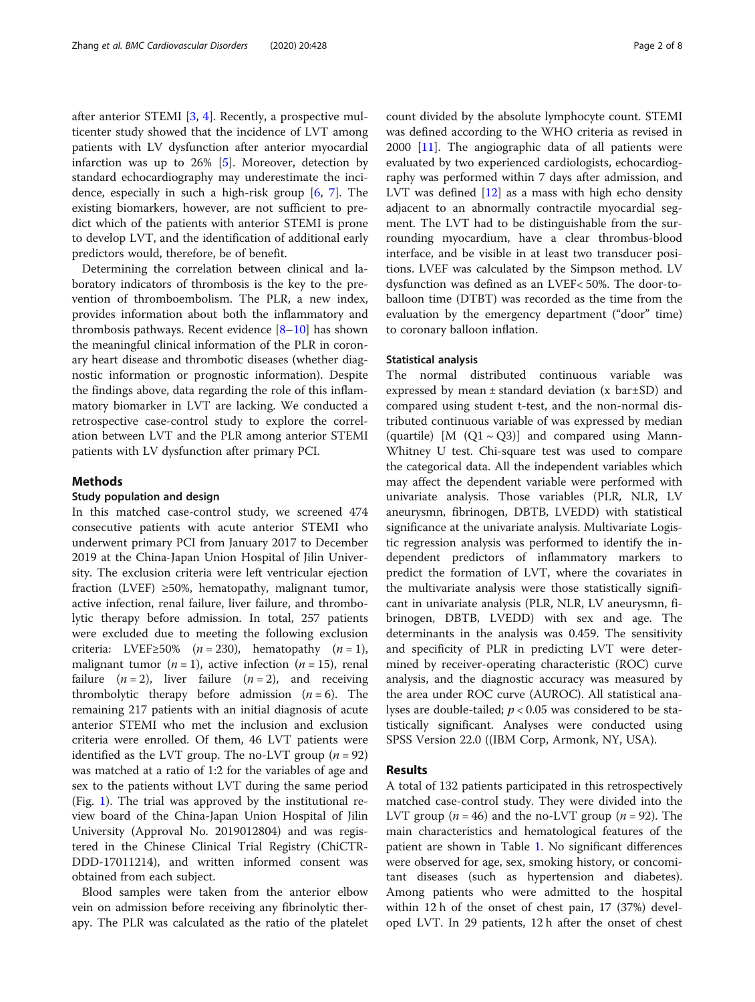after anterior STEMI [[3,](#page-6-0) [4](#page-6-0)]. Recently, a prospective multicenter study showed that the incidence of LVT among patients with LV dysfunction after anterior myocardial infarction was up to 26% [[5](#page-6-0)]. Moreover, detection by standard echocardiography may underestimate the incidence, especially in such a high-risk group [[6,](#page-6-0) [7](#page-6-0)]. The existing biomarkers, however, are not sufficient to predict which of the patients with anterior STEMI is prone to develop LVT, and the identification of additional early predictors would, therefore, be of benefit.

Determining the correlation between clinical and laboratory indicators of thrombosis is the key to the prevention of thromboembolism. The PLR, a new index, provides information about both the inflammatory and thrombosis pathways. Recent evidence [[8](#page-6-0)–[10](#page-6-0)] has shown the meaningful clinical information of the PLR in coronary heart disease and thrombotic diseases (whether diagnostic information or prognostic information). Despite the findings above, data regarding the role of this inflammatory biomarker in LVT are lacking. We conducted a retrospective case-control study to explore the correlation between LVT and the PLR among anterior STEMI patients with LV dysfunction after primary PCI.

#### Methods

#### Study population and design

In this matched case-control study, we screened 474 consecutive patients with acute anterior STEMI who underwent primary PCI from January 2017 to December 2019 at the China-Japan Union Hospital of Jilin University. The exclusion criteria were left ventricular ejection fraction (LVEF)  $\geq 50\%$ , hematopathy, malignant tumor, active infection, renal failure, liver failure, and thrombolytic therapy before admission. In total, 257 patients were excluded due to meeting the following exclusion criteria: LVEF≥50% ( $n = 230$ ), hematopathy ( $n = 1$ ), malignant tumor ( $n = 1$ ), active infection ( $n = 15$ ), renal failure  $(n=2)$ , liver failure  $(n=2)$ , and receiving thrombolytic therapy before admission  $(n = 6)$ . The remaining 217 patients with an initial diagnosis of acute anterior STEMI who met the inclusion and exclusion criteria were enrolled. Of them, 46 LVT patients were identified as the LVT group. The no-LVT group ( $n = 92$ ) was matched at a ratio of 1:2 for the variables of age and sex to the patients without LVT during the same period (Fig. [1](#page-2-0)). The trial was approved by the institutional review board of the China-Japan Union Hospital of Jilin University (Approval No. 2019012804) and was registered in the Chinese Clinical Trial Registry (ChiCTR-DDD-17011214), and written informed consent was obtained from each subject.

Blood samples were taken from the anterior elbow vein on admission before receiving any fibrinolytic therapy. The PLR was calculated as the ratio of the platelet count divided by the absolute lymphocyte count. STEMI was defined according to the WHO criteria as revised in 2000 [[11](#page-6-0)]. The angiographic data of all patients were evaluated by two experienced cardiologists, echocardiography was performed within 7 days after admission, and LVT was defined  $[12]$  $[12]$  as a mass with high echo density adjacent to an abnormally contractile myocardial segment. The LVT had to be distinguishable from the surrounding myocardium, have a clear thrombus-blood interface, and be visible in at least two transducer positions. LVEF was calculated by the Simpson method. LV dysfunction was defined as an LVEF< 50%. The door-toballoon time (DTBT) was recorded as the time from the evaluation by the emergency department ("door" time) to coronary balloon inflation.

#### Statistical analysis

The normal distributed continuous variable was expressed by mean  $\pm$  standard deviation (x bar $\pm$ SD) and compared using student t-test, and the non-normal distributed continuous variable of was expressed by median (quartile) [M  $(Q1 \sim Q3)$ ] and compared using Mann-Whitney U test. Chi-square test was used to compare the categorical data. All the independent variables which may affect the dependent variable were performed with univariate analysis. Those variables (PLR, NLR, LV aneurysmn, fibrinogen, DBTB, LVEDD) with statistical significance at the univariate analysis. Multivariate Logistic regression analysis was performed to identify the independent predictors of inflammatory markers to predict the formation of LVT, where the covariates in the multivariate analysis were those statistically significant in univariate analysis (PLR, NLR, LV aneurysmn, fibrinogen, DBTB, LVEDD) with sex and age. The determinants in the analysis was 0.459. The sensitivity and specificity of PLR in predicting LVT were determined by receiver-operating characteristic (ROC) curve analysis, and the diagnostic accuracy was measured by the area under ROC curve (AUROC). All statistical analyses are double-tailed;  $p < 0.05$  was considered to be statistically significant. Analyses were conducted using SPSS Version 22.0 ((IBM Corp, Armonk, NY, USA).

#### Results

A total of 132 patients participated in this retrospectively matched case-control study. They were divided into the LVT group ( $n = 46$ ) and the no-LVT group ( $n = 92$ ). The main characteristics and hematological features of the patient are shown in Table [1.](#page-3-0) No significant differences were observed for age, sex, smoking history, or concomitant diseases (such as hypertension and diabetes). Among patients who were admitted to the hospital within 12 h of the onset of chest pain, 17 (37%) developed LVT. In 29 patients, 12 h after the onset of chest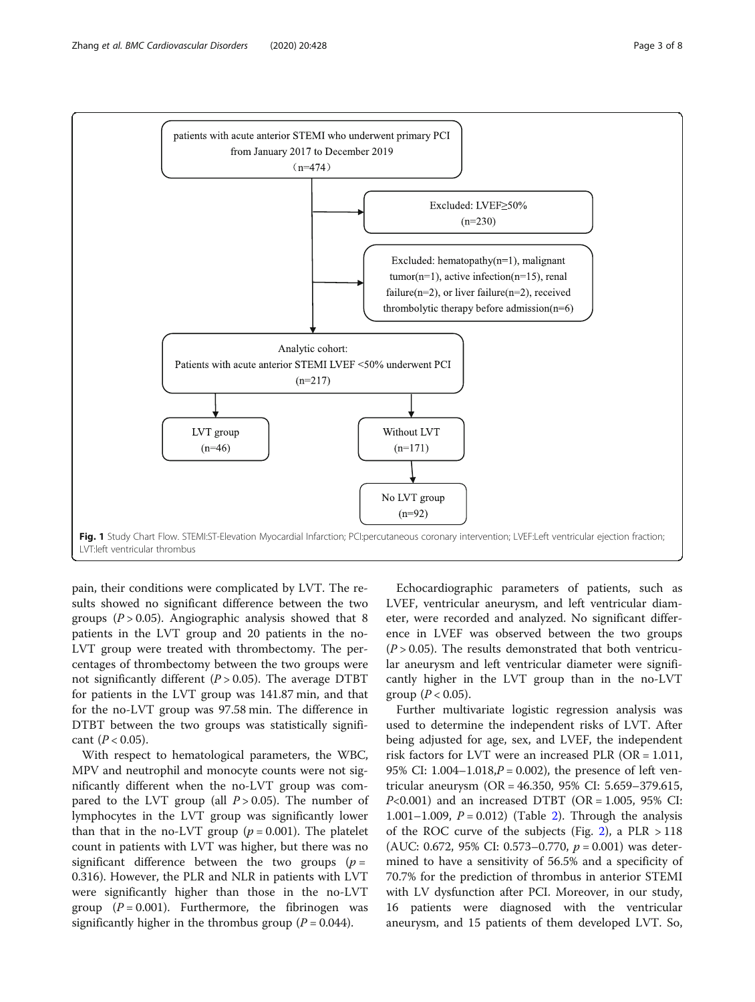<span id="page-2-0"></span>

pain, their conditions were complicated by LVT. The results showed no significant difference between the two groups ( $P > 0.05$ ). Angiographic analysis showed that 8 patients in the LVT group and 20 patients in the no-LVT group were treated with thrombectomy. The percentages of thrombectomy between the two groups were not significantly different  $(P > 0.05)$ . The average DTBT for patients in the LVT group was 141.87 min, and that for the no-LVT group was 97.58 min. The difference in DTBT between the two groups was statistically significant ( $P < 0.05$ ).

With respect to hematological parameters, the WBC, MPV and neutrophil and monocyte counts were not significantly different when the no-LVT group was compared to the LVT group (all  $P > 0.05$ ). The number of lymphocytes in the LVT group was significantly lower than that in the no-LVT group ( $p = 0.001$ ). The platelet count in patients with LVT was higher, but there was no significant difference between the two groups ( $p =$ 0.316). However, the PLR and NLR in patients with LVT were significantly higher than those in the no-LVT group  $(P = 0.001)$ . Furthermore, the fibrinogen was significantly higher in the thrombus group ( $P = 0.044$ ).

Echocardiographic parameters of patients, such as LVEF, ventricular aneurysm, and left ventricular diameter, were recorded and analyzed. No significant difference in LVEF was observed between the two groups  $(P > 0.05)$ . The results demonstrated that both ventricular aneurysm and left ventricular diameter were significantly higher in the LVT group than in the no-LVT group  $(P < 0.05)$ .

Further multivariate logistic regression analysis was used to determine the independent risks of LVT. After being adjusted for age, sex, and LVEF, the independent risk factors for LVT were an increased PLR ( $OR = 1.011$ , 95% CI:  $1.004 - 1.018$ ,  $P = 0.002$ ), the presence of left ventricular aneurysm (OR = 46.350, 95% CI: 5.659–379.615,  $P<0.001$ ) and an increased DTBT (OR = 1.005, 95% CI: 1.001–1.009,  $P = 0.012$  $P = 0.012$ ) (Table 2). Through the analysis of the ROC curve of the subjects (Fig. [2](#page-4-0)), a PLR  $>118$ (AUC: 0.672, 95% CI: 0.573–0.770,  $p = 0.001$ ) was determined to have a sensitivity of 56.5% and a specificity of 70.7% for the prediction of thrombus in anterior STEMI with LV dysfunction after PCI. Moreover, in our study, 16 patients were diagnosed with the ventricular aneurysm, and 15 patients of them developed LVT. So,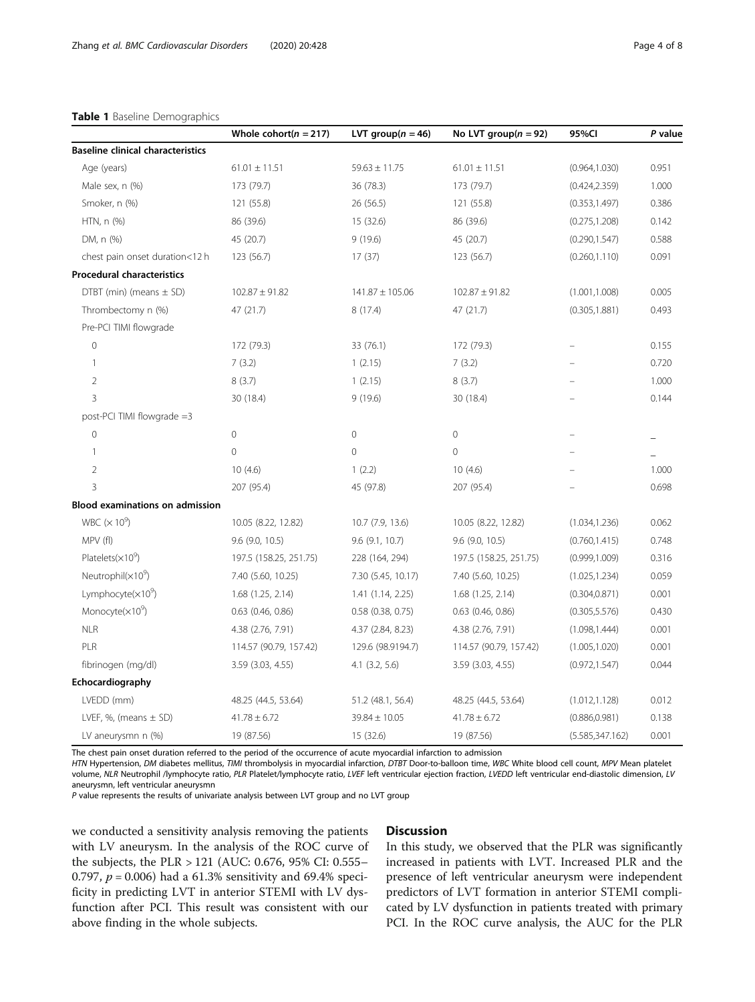#### <span id="page-3-0"></span>Table 1 Baseline Demographics

|                                          | Whole cohort( $n = 217$ ) | LVT group( $n = 46$ ) | No LVT group( $n = 92$ ) | 95%CI            | P value |
|------------------------------------------|---------------------------|-----------------------|--------------------------|------------------|---------|
| <b>Baseline clinical characteristics</b> |                           |                       |                          |                  |         |
| Age (years)                              | $61.01 \pm 11.51$         | $59.63 \pm 11.75$     | $61.01 \pm 11.51$        | (0.964, 1.030)   | 0.951   |
| Male sex, n (%)                          | 173 (79.7)                | 36 (78.3)             | 173 (79.7)               | (0.424, 2.359)   | 1.000   |
| Smoker, n (%)                            | 121 (55.8)                | 26(56.5)              | 121 (55.8)               | (0.353, 1.497)   | 0.386   |
| HTN, n (%)                               | 86 (39.6)                 | 15 (32.6)             | 86 (39.6)                | (0.275, 1.208)   | 0.142   |
| DM, n (%)                                | 45 (20.7)                 | 9(19.6)               | 45 (20.7)                | (0.290, 1.547)   | 0.588   |
| chest pain onset duration<12 h           | 123 (56.7)                | 17(37)                | 123 (56.7)               | (0.260, 1.110)   | 0.091   |
| <b>Procedural characteristics</b>        |                           |                       |                          |                  |         |
| DTBT (min) (means $\pm$ SD)              | $102.87 \pm 91.82$        | $141.87 \pm 105.06$   | $102.87 \pm 91.82$       | (1.001, 1.008)   | 0.005   |
| Thrombectomy n (%)                       | 47 (21.7)                 | 8 (17.4)              | 47 (21.7)                | (0.305, 1.881)   | 0.493   |
| Pre-PCI TIMI flowgrade                   |                           |                       |                          |                  |         |
| $\mathbb O$                              | 172 (79.3)                | 33 (76.1)             | 172 (79.3)               | ÷                | 0.155   |
| 1                                        | 7(3.2)                    | 1(2.15)               | 7(3.2)                   |                  | 0.720   |
| $\overline{2}$                           | 8(3.7)                    | 1(2.15)               | 8(3.7)                   |                  | 1.000   |
| 3                                        | 30 (18.4)                 | 9(19.6)               | 30 (18.4)                |                  | 0.144   |
| post-PCI TIMI flowgrade =3               |                           |                       |                          |                  |         |
| 0                                        | 0                         | $\circ$               | 0                        |                  |         |
| $\mathbf{1}$                             | $\overline{0}$            | $\overline{0}$        | $\overline{0}$           |                  |         |
| $\overline{2}$                           | 10(4.6)                   | 1(2.2)                | 10(4.6)                  |                  | 1.000   |
| 3                                        | 207 (95.4)                | 45 (97.8)             | 207 (95.4)               |                  | 0.698   |
| <b>Blood examinations on admission</b>   |                           |                       |                          |                  |         |
| WBC $(\times 10^9)$                      | 10.05 (8.22, 12.82)       | 10.7 (7.9, 13.6)      | 10.05 (8.22, 12.82)      | (1.034, 1.236)   | 0.062   |
| MPV (fl)                                 | $9.6$ (9.0, 10.5)         | 9.6(9.1, 10.7)        | $9.6$ (9.0, 10.5)        | (0.760, 1.415)   | 0.748   |
| Platelets $(x10^9)$                      | 197.5 (158.25, 251.75)    | 228 (164, 294)        | 197.5 (158.25, 251.75)   | (0.999, 1.009)   | 0.316   |
| Neutrophil $(x10^9)$                     | 7.40 (5.60, 10.25)        | 7.30 (5.45, 10.17)    | 7.40 (5.60, 10.25)       | (1.025, 1.234)   | 0.059   |
| Lymphocyte $(x10^9)$                     | 1.68(1.25, 2.14)          | 1.41 (1.14, 2.25)     | 1.68 (1.25, 2.14)        | (0.304, 0.871)   | 0.001   |
| Monocyte $(x10^9)$                       | $0.63$ (0.46, 0.86)       | $0.58$ (0.38, 0.75)   | $0.63$ $(0.46, 0.86)$    | (0.305, 5.576)   | 0.430   |
| <b>NLR</b>                               | 4.38 (2.76, 7.91)         | 4.37 (2.84, 8.23)     | 4.38 (2.76, 7.91)        | (1.098, 1.444)   | 0.001   |
| PLR                                      | 114.57 (90.79, 157.42)    | 129.6 (98.9194.7)     | 114.57 (90.79, 157.42)   | (1.005, 1.020)   | 0.001   |
| fibrinogen (mg/dl)                       | 3.59 (3.03, 4.55)         | $4.1$ $(3.2, 5.6)$    | 3.59 (3.03, 4.55)        | (0.972, 1.547)   | 0.044   |
| Echocardiography                         |                           |                       |                          |                  |         |
| LVEDD (mm)                               | 48.25 (44.5, 53.64)       | 51.2 (48.1, 56.4)     | 48.25 (44.5, 53.64)      | (1.012, 1.128)   | 0.012   |
| LVEF, %, (means $\pm$ SD)                | $41.78 \pm 6.72$          | $39.84 \pm 10.05$     | $41.78 \pm 6.72$         | (0.886, 0.981)   | 0.138   |
| LV aneurysmn n (%)                       | 19 (87.56)                | 15 (32.6)             | 19 (87.56)               | (5.585, 347.162) | 0.001   |

The chest pain onset duration referred to the period of the occurrence of acute myocardial infarction to admission

HTN Hypertension, DM diabetes mellitus, TIMI thrombolysis in myocardial infarction, DTBT Door-to-balloon time, WBC White blood cell count, MPV Mean platelet volume, NLR Neutrophil /lymphocyte ratio, PLR Platelet/lymphocyte ratio, LVEF left ventricular ejection fraction, LVEDD left ventricular end-diastolic dimension, LV aneurysmn, left ventricular aneurysmn

P value represents the results of univariate analysis between LVT group and no LVT group

we conducted a sensitivity analysis removing the patients with LV aneurysm. In the analysis of the ROC curve of the subjects, the PLR > 121 (AUC: 0.676, 95% CI: 0.555– 0.797,  $p = 0.006$ ) had a 61.3% sensitivity and 69.4% specificity in predicting LVT in anterior STEMI with LV dysfunction after PCI. This result was consistent with our above finding in the whole subjects.

### **Discussion**

In this study, we observed that the PLR was significantly increased in patients with LVT. Increased PLR and the presence of left ventricular aneurysm were independent predictors of LVT formation in anterior STEMI complicated by LV dysfunction in patients treated with primary PCI. In the ROC curve analysis, the AUC for the PLR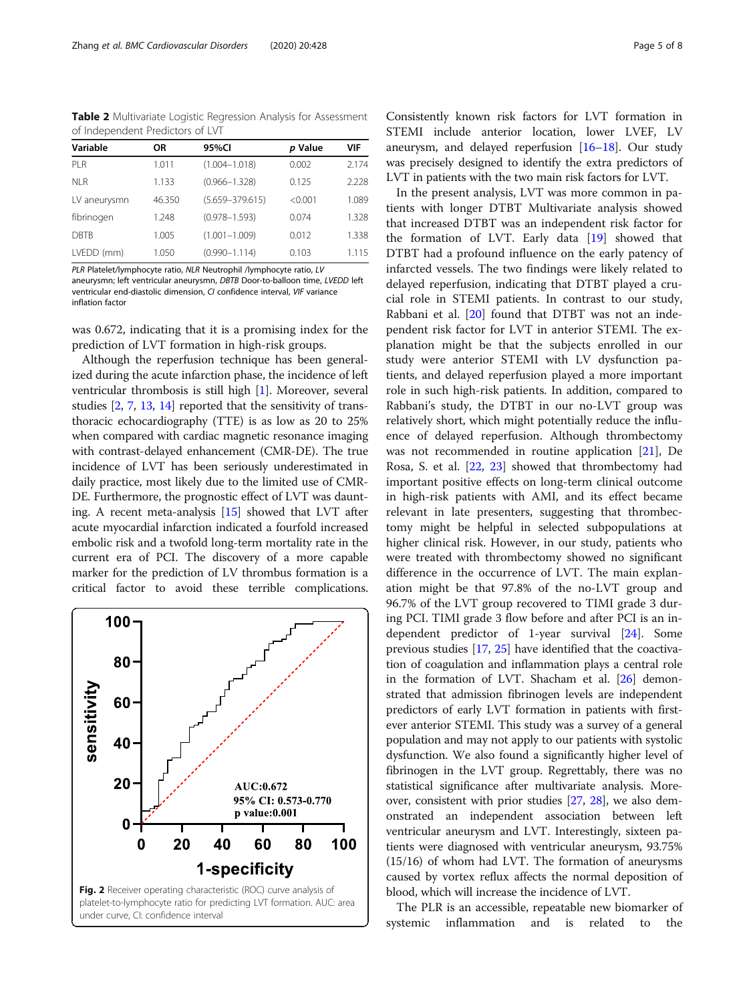<span id="page-4-0"></span>Table 2 Multivariate Logistic Regression Analysis for Assessment of Independent Predictors of LVT

| Variable        | <b>OR</b> | 95%CI               |         | VIF   |
|-----------------|-----------|---------------------|---------|-------|
|                 |           |                     | p Value |       |
| PI <sub>R</sub> | 1.011     | $(1.004 - 1.018)$   | 0.002   | 2.174 |
| NI R            | 1.133     | $(0.966 - 1.328)$   | 0.125   | 2.228 |
| LV aneurysmn    | 46.350    | $(5.659 - 379.615)$ | < 0.001 | 1.089 |
| fibrinogen      | 1.248     | $(0.978 - 1.593)$   | 0.074   | 1.328 |
| <b>DBTB</b>     | 1.005     | $(1.001 - 1.009)$   | 0.012   | 1.338 |
| LVEDD (mm)      | 1.050     | $(0.990 - 1.114)$   | 0.103   | 1.115 |

PLR Platelet/lymphocyte ratio, NLR Neutrophil /lymphocyte ratio, LV aneurysmn; left ventricular aneurysmn, DBTB Door-to-balloon time, LVEDD left ventricular end-diastolic dimension, CI confidence interval, VIF variance inflation factor

was 0.672, indicating that it is a promising index for the prediction of LVT formation in high-risk groups.

Although the reperfusion technique has been generalized during the acute infarction phase, the incidence of left ventricular thrombosis is still high [[1](#page-6-0)]. Moreover, several studies [[2](#page-6-0), [7](#page-6-0), [13](#page-6-0), [14](#page-6-0)] reported that the sensitivity of transthoracic echocardiography (TTE) is as low as 20 to 25% when compared with cardiac magnetic resonance imaging with contrast-delayed enhancement (CMR-DE). The true incidence of LVT has been seriously underestimated in daily practice, most likely due to the limited use of CMR-DE. Furthermore, the prognostic effect of LVT was daunting. A recent meta-analysis [[15](#page-6-0)] showed that LVT after acute myocardial infarction indicated a fourfold increased embolic risk and a twofold long-term mortality rate in the current era of PCI. The discovery of a more capable marker for the prediction of LV thrombus formation is a critical factor to avoid these terrible complications.



Consistently known risk factors for LVT formation in STEMI include anterior location, lower LVEF, LV aneurysm, and delayed reperfusion [[16](#page-6-0)–[18](#page-6-0)]. Our study was precisely designed to identify the extra predictors of LVT in patients with the two main risk factors for LVT.

In the present analysis, LVT was more common in patients with longer DTBT Multivariate analysis showed that increased DTBT was an independent risk factor for the formation of LVT. Early data [\[19\]](#page-6-0) showed that DTBT had a profound influence on the early patency of infarcted vessels. The two findings were likely related to delayed reperfusion, indicating that DTBT played a crucial role in STEMI patients. In contrast to our study, Rabbani et al. [\[20](#page-6-0)] found that DTBT was not an independent risk factor for LVT in anterior STEMI. The explanation might be that the subjects enrolled in our study were anterior STEMI with LV dysfunction patients, and delayed reperfusion played a more important role in such high-risk patients. In addition, compared to Rabbani's study, the DTBT in our no-LVT group was relatively short, which might potentially reduce the influence of delayed reperfusion. Although thrombectomy was not recommended in routine application [[21\]](#page-6-0), De Rosa, S. et al. [\[22](#page-6-0), [23](#page-6-0)] showed that thrombectomy had important positive effects on long-term clinical outcome in high-risk patients with AMI, and its effect became relevant in late presenters, suggesting that thrombectomy might be helpful in selected subpopulations at higher clinical risk. However, in our study, patients who were treated with thrombectomy showed no significant difference in the occurrence of LVT. The main explanation might be that 97.8% of the no-LVT group and 96.7% of the LVT group recovered to TIMI grade 3 during PCI. TIMI grade 3 flow before and after PCI is an independent predictor of 1-year survival [[24\]](#page-6-0). Some previous studies [[17](#page-6-0), [25\]](#page-6-0) have identified that the coactivation of coagulation and inflammation plays a central role in the formation of LVT. Shacham et al. [\[26\]](#page-6-0) demonstrated that admission fibrinogen levels are independent predictors of early LVT formation in patients with firstever anterior STEMI. This study was a survey of a general population and may not apply to our patients with systolic dysfunction. We also found a significantly higher level of fibrinogen in the LVT group. Regrettably, there was no statistical significance after multivariate analysis. Moreover, consistent with prior studies [\[27,](#page-6-0) [28](#page-6-0)], we also demonstrated an independent association between left ventricular aneurysm and LVT. Interestingly, sixteen patients were diagnosed with ventricular aneurysm, 93.75% (15/16) of whom had LVT. The formation of aneurysms caused by vortex reflux affects the normal deposition of blood, which will increase the incidence of LVT.

The PLR is an accessible, repeatable new biomarker of systemic inflammation and is related to the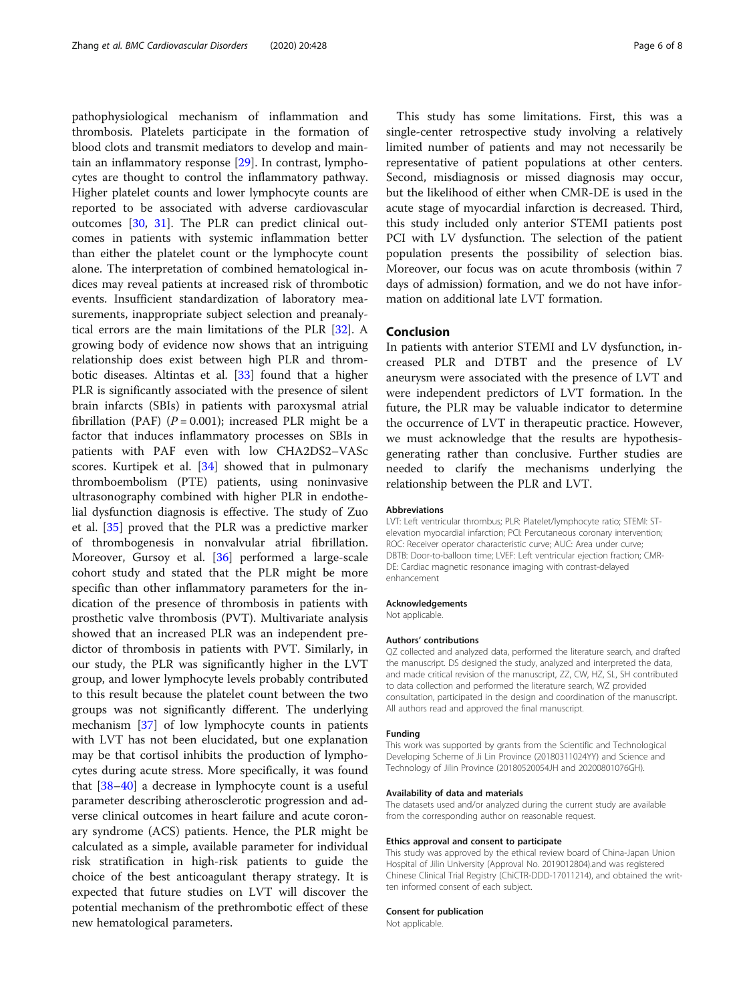pathophysiological mechanism of inflammation and thrombosis. Platelets participate in the formation of blood clots and transmit mediators to develop and maintain an inflammatory response [[29\]](#page-6-0). In contrast, lymphocytes are thought to control the inflammatory pathway. Higher platelet counts and lower lymphocyte counts are reported to be associated with adverse cardiovascular outcomes [[30](#page-6-0), [31\]](#page-6-0). The PLR can predict clinical outcomes in patients with systemic inflammation better than either the platelet count or the lymphocyte count alone. The interpretation of combined hematological indices may reveal patients at increased risk of thrombotic events. Insufficient standardization of laboratory measurements, inappropriate subject selection and preanalytical errors are the main limitations of the PLR [\[32](#page-6-0)]. A growing body of evidence now shows that an intriguing relationship does exist between high PLR and thrombotic diseases. Altintas et al. [[33\]](#page-6-0) found that a higher PLR is significantly associated with the presence of silent brain infarcts (SBIs) in patients with paroxysmal atrial fibrillation (PAF) ( $P = 0.001$ ); increased PLR might be a factor that induces inflammatory processes on SBIs in patients with PAF even with low CHA2DS2–VASc scores. Kurtipek et al. [\[34\]](#page-6-0) showed that in pulmonary thromboembolism (PTE) patients, using noninvasive ultrasonography combined with higher PLR in endothelial dysfunction diagnosis is effective. The study of Zuo et al. [\[35\]](#page-6-0) proved that the PLR was a predictive marker of thrombogenesis in nonvalvular atrial fibrillation. Moreover, Gursoy et al. [[36\]](#page-6-0) performed a large-scale cohort study and stated that the PLR might be more specific than other inflammatory parameters for the indication of the presence of thrombosis in patients with prosthetic valve thrombosis (PVT). Multivariate analysis showed that an increased PLR was an independent predictor of thrombosis in patients with PVT. Similarly, in our study, the PLR was significantly higher in the LVT group, and lower lymphocyte levels probably contributed to this result because the platelet count between the two groups was not significantly different. The underlying mechanism [\[37](#page-7-0)] of low lymphocyte counts in patients with LVT has not been elucidated, but one explanation may be that cortisol inhibits the production of lymphocytes during acute stress. More specifically, it was found that [[38](#page-7-0)–[40](#page-7-0)] a decrease in lymphocyte count is a useful parameter describing atherosclerotic progression and adverse clinical outcomes in heart failure and acute coronary syndrome (ACS) patients. Hence, the PLR might be calculated as a simple, available parameter for individual risk stratification in high-risk patients to guide the choice of the best anticoagulant therapy strategy. It is expected that future studies on LVT will discover the potential mechanism of the prethrombotic effect of these new hematological parameters.

This study has some limitations. First, this was a single-center retrospective study involving a relatively limited number of patients and may not necessarily be representative of patient populations at other centers. Second, misdiagnosis or missed diagnosis may occur, but the likelihood of either when CMR-DE is used in the acute stage of myocardial infarction is decreased. Third, this study included only anterior STEMI patients post PCI with LV dysfunction. The selection of the patient population presents the possibility of selection bias. Moreover, our focus was on acute thrombosis (within 7 days of admission) formation, and we do not have information on additional late LVT formation.

## Conclusion

In patients with anterior STEMI and LV dysfunction, increased PLR and DTBT and the presence of LV aneurysm were associated with the presence of LVT and were independent predictors of LVT formation. In the future, the PLR may be valuable indicator to determine the occurrence of LVT in therapeutic practice. However, we must acknowledge that the results are hypothesisgenerating rather than conclusive. Further studies are needed to clarify the mechanisms underlying the relationship between the PLR and LVT.

#### Abbreviations

LVT: Left ventricular thrombus; PLR: Platelet/lymphocyte ratio; STEMI: STelevation myocardial infarction; PCI: Percutaneous coronary intervention; ROC: Receiver operator characteristic curve; AUC: Area under curve; DBTB: Door-to-balloon time; LVEF: Left ventricular ejection fraction; CMR-DE: Cardiac magnetic resonance imaging with contrast-delayed enhancement

#### Acknowledgements

Not applicable.

#### Authors' contributions

QZ collected and analyzed data, performed the literature search, and drafted the manuscript. DS designed the study, analyzed and interpreted the data, and made critical revision of the manuscript, ZZ, CW, HZ, SL, SH contributed to data collection and performed the literature search, WZ provided consultation, participated in the design and coordination of the manuscript. All authors read and approved the final manuscript.

#### Funding

This work was supported by grants from the Scientific and Technological Developing Scheme of Ji Lin Province (20180311024YY) and Science and Technology of Jilin Province (20180520054JH and 20200801076GH).

#### Availability of data and materials

The datasets used and/or analyzed during the current study are available from the corresponding author on reasonable request.

#### Ethics approval and consent to participate

This study was approved by the ethical review board of China-Japan Union Hospital of Jilin University (Approval No. 2019012804).and was registered Chinese Clinical Trial Registry (ChiCTR-DDD-17011214), and obtained the written informed consent of each subject.

#### Consent for publication

Not applicable.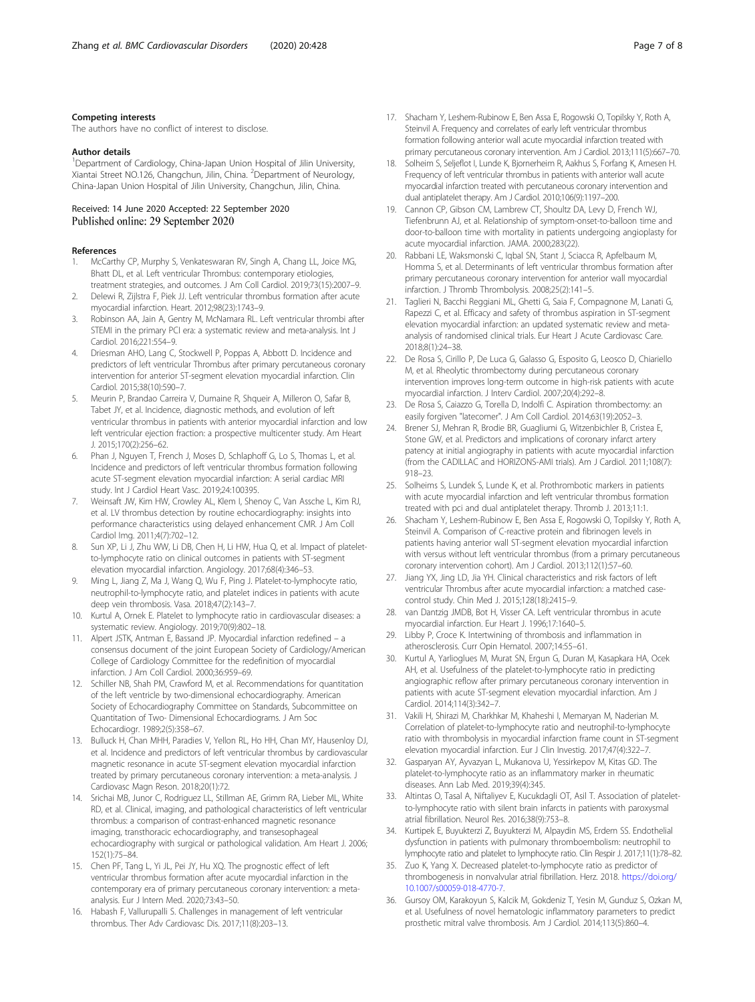#### <span id="page-6-0"></span>Competing interests

The authors have no conflict of interest to disclose.

#### Author details

<sup>1</sup>Department of Cardiology, China-Japan Union Hospital of Jilin University, Xiantai Street NO.126, Changchun, Jilin, China. <sup>2</sup>Department of Neurology, China-Japan Union Hospital of Jilin University, Changchun, Jilin, China.

#### Received: 14 June 2020 Accepted: 22 September 2020 Published online: 29 September 2020

#### References

- 1. McCarthy CP, Murphy S, Venkateswaran RV, Singh A, Chang LL, Joice MG, Bhatt DL, et al. Left ventricular Thrombus: contemporary etiologies, treatment strategies, and outcomes. J Am Coll Cardiol. 2019;73(15):2007–9.
- 2. Delewi R, Zijlstra F, Piek JJ. Left ventricular thrombus formation after acute myocardial infarction. Heart. 2012;98(23):1743–9.
- 3. Robinson AA, Jain A, Gentry M, McNamara RL. Left ventricular thrombi after STEMI in the primary PCI era: a systematic review and meta-analysis. Int J Cardiol. 2016;221:554–9.
- 4. Driesman AHO, Lang C, Stockwell P, Poppas A, Abbott D. Incidence and predictors of left ventricular Thrombus after primary percutaneous coronary intervention for anterior ST-segment elevation myocardial infarction. Clin Cardiol. 2015;38(10):590–7.
- 5. Meurin P, Brandao Carreira V, Dumaine R, Shqueir A, Milleron O, Safar B, Tabet JY, et al. Incidence, diagnostic methods, and evolution of left ventricular thrombus in patients with anterior myocardial infarction and low left ventricular ejection fraction: a prospective multicenter study. Am Heart J. 2015;170(2):256–62.
- 6. Phan J, Nguyen T, French J, Moses D, Schlaphoff G, Lo S, Thomas L, et al. Incidence and predictors of left ventricular thrombus formation following acute ST-segment elevation myocardial infarction: A serial cardiac MRI study. Int J Cardiol Heart Vasc. 2019;24:100395.
- 7. Weinsaft JW, Kim HW, Crowley AL, Klem I, Shenoy C, Van Assche L, Kim RJ, et al. LV thrombus detection by routine echocardiography: insights into performance characteristics using delayed enhancement CMR. J Am Coll Cardiol Img. 2011;4(7):702–12.
- Sun XP, Li J, Zhu WW, Li DB, Chen H, Li HW, Hua Q, et al. Impact of plateletto-lymphocyte ratio on clinical outcomes in patients with ST-segment elevation myocardial infarction. Angiology. 2017;68(4):346–53.
- Ming L, Jiang Z, Ma J, Wang Q, Wu F, Ping J. Platelet-to-lymphocyte ratio, neutrophil-to-lymphocyte ratio, and platelet indices in patients with acute deep vein thrombosis. Vasa. 2018;47(2):143–7.
- 10. Kurtul A, Ornek E. Platelet to lymphocyte ratio in cardiovascular diseases: a systematic review. Angiology. 2019;70(9):802–18.
- 11. Alpert JSTK, Antman E, Bassand JP. Myocardial infarction redefined a consensus document of the joint European Society of Cardiology/American College of Cardiology Committee for the redefinition of myocardial infarction. J Am Coll Cardiol. 2000;36:959–69.
- 12. Schiller NB, Shah PM, Crawford M, et al. Recommendations for quantitation of the left ventricle by two-dimensional echocardiography. American Society of Echocardiography Committee on Standards, Subcommittee on Quantitation of Two- Dimensional Echocardiograms. J Am Soc Echocardiogr. 1989;2(5):358–67.
- 13. Bulluck H, Chan MHH, Paradies V, Yellon RL, Ho HH, Chan MY, Hausenloy DJ, et al. Incidence and predictors of left ventricular thrombus by cardiovascular magnetic resonance in acute ST-segment elevation myocardial infarction treated by primary percutaneous coronary intervention: a meta-analysis. J Cardiovasc Magn Reson. 2018;20(1):72.
- 14. Srichai MB, Junor C, Rodriguez LL, Stillman AE, Grimm RA, Lieber ML, White RD, et al. Clinical, imaging, and pathological characteristics of left ventricular thrombus: a comparison of contrast-enhanced magnetic resonance imaging, transthoracic echocardiography, and transesophageal echocardiography with surgical or pathological validation. Am Heart J. 2006; 152(1):75–84.
- 15. Chen PF, Tang L, Yi JL, Pei JY, Hu XQ. The prognostic effect of left ventricular thrombus formation after acute myocardial infarction in the contemporary era of primary percutaneous coronary intervention: a metaanalysis. Eur J Intern Med. 2020;73:43–50.
- 16. Habash F, Vallurupalli S. Challenges in management of left ventricular thrombus. Ther Adv Cardiovasc Dis. 2017;11(8):203–13.
- 
- 17. Shacham Y, Leshem-Rubinow E, Ben Assa E, Rogowski O, Topilsky Y, Roth A, Steinvil A. Frequency and correlates of early left ventricular thrombus formation following anterior wall acute myocardial infarction treated with primary percutaneous coronary intervention. Am J Cardiol. 2013;111(5):667–70.
- 18. Solheim S, Seljeflot I, Lunde K, Bjornerheim R, Aakhus S, Forfang K, Arnesen H. Frequency of left ventricular thrombus in patients with anterior wall acute myocardial infarction treated with percutaneous coronary intervention and dual antiplatelet therapy. Am J Cardiol. 2010;106(9):1197–200.
- 19. Cannon CP, Gibson CM, Lambrew CT, Shoultz DA, Levy D, French WJ, Tiefenbrunn AJ, et al. Relationship of symptom-onset-to-balloon time and door-to-balloon time with mortality in patients undergoing angioplasty for acute myocardial infarction. JAMA. 2000;283(22).
- 20. Rabbani LE, Waksmonski C, Iqbal SN, Stant J, Sciacca R, Apfelbaum M, Homma S, et al. Determinants of left ventricular thrombus formation after primary percutaneous coronary intervention for anterior wall myocardial infarction. J Thromb Thrombolysis. 2008;25(2):141-5.
- 21. Taglieri N, Bacchi Reggiani ML, Ghetti G, Saia F, Compagnone M, Lanati G, Rapezzi C, et al. Efficacy and safety of thrombus aspiration in ST-segment elevation myocardial infarction: an updated systematic review and metaanalysis of randomised clinical trials. Eur Heart J Acute Cardiovasc Care. 2018;8(1):24–38.
- 22. De Rosa S, Cirillo P, De Luca G, Galasso G, Esposito G, Leosco D, Chiariello M, et al. Rheolytic thrombectomy during percutaneous coronary intervention improves long-term outcome in high-risk patients with acute myocardial infarction. J Interv Cardiol. 2007;20(4):292–8.
- 23. De Rosa S, Caiazzo G, Torella D, Indolfi C. Aspiration thrombectomy: an easily forgiven "latecomer". J Am Coll Cardiol. 2014;63(19):2052–3.
- 24. Brener SJ, Mehran R, Brodie BR, Guagliumi G, Witzenbichler B, Cristea E, Stone GW, et al. Predictors and implications of coronary infarct artery patency at initial angiography in patients with acute myocardial infarction (from the CADILLAC and HORIZONS-AMI trials). Am J Cardiol. 2011;108(7): 918–23.
- 25. Solheims S, Lundek S, Lunde K, et al. Prothrombotic markers in patients with acute myocardial infarction and left ventricular thrombus formation treated with pci and dual antiplatelet therapy. Thromb J. 2013;11:1.
- 26. Shacham Y, Leshem-Rubinow E, Ben Assa E, Rogowski O, Topilsky Y, Roth A, Steinvil A. Comparison of C-reactive protein and fibrinogen levels in patients having anterior wall ST-segment elevation myocardial infarction with versus without left ventricular thrombus (from a primary percutaneous coronary intervention cohort). Am J Cardiol. 2013;112(1):57–60.
- 27. Jiang YX, Jing LD, Jia YH. Clinical characteristics and risk factors of left ventricular Thrombus after acute myocardial infarction: a matched casecontrol study. Chin Med J. 2015;128(18):2415–9.
- 28. van Dantzig JMDB, Bot H, Visser CA. Left ventricular thrombus in acute myocardial infarction. Eur Heart J. 1996;17:1640–5.
- 29. Libby P, Croce K. Intertwining of thrombosis and inflammation in atherosclerosis. Curr Opin Hematol. 2007;14:55–61.
- 30. Kurtul A, Yarlioglues M, Murat SN, Ergun G, Duran M, Kasapkara HA, Ocek AH, et al. Usefulness of the platelet-to-lymphocyte ratio in predicting angiographic reflow after primary percutaneous coronary intervention in patients with acute ST-segment elevation myocardial infarction. Am J Cardiol. 2014;114(3):342–7.
- 31. Vakili H, Shirazi M, Charkhkar M, Khaheshi I, Memaryan M, Naderian M. Correlation of platelet-to-lymphocyte ratio and neutrophil-to-lymphocyte ratio with thrombolysis in myocardial infarction frame count in ST-segment elevation myocardial infarction. Eur J Clin Investig. 2017;47(4):322–7.
- 32. Gasparyan AY, Ayvazyan L, Mukanova U, Yessirkepov M, Kitas GD. The platelet-to-lymphocyte ratio as an inflammatory marker in rheumatic diseases. Ann Lab Med. 2019;39(4):345.
- 33. Altintas O, Tasal A, Niftaliyev E, Kucukdagli OT, Asil T. Association of plateletto-lymphocyte ratio with silent brain infarcts in patients with paroxysmal atrial fibrillation. Neurol Res. 2016;38(9):753–8.
- 34. Kurtipek E, Buyukterzi Z, Buyukterzi M, Alpaydin MS, Erdem SS. Endothelial dysfunction in patients with pulmonary thromboembolism: neutrophil to lymphocyte ratio and platelet to lymphocyte ratio. Clin Respir J. 2017;11(1):78–82.
- 35. Zuo K, Yang X. Decreased platelet-to-lymphocyte ratio as predictor of thrombogenesis in nonvalvular atrial fibrillation. Herz. 2018. [https://doi.org/](https://doi.org/10.1007/s00059-018-4770-7) [10.1007/s00059-018-4770-7](https://doi.org/10.1007/s00059-018-4770-7).
- 36. Gursoy OM, Karakoyun S, Kalcik M, Gokdeniz T, Yesin M, Gunduz S, Ozkan M, et al. Usefulness of novel hematologic inflammatory parameters to predict prosthetic mitral valve thrombosis. Am J Cardiol. 2014;113(5):860–4.